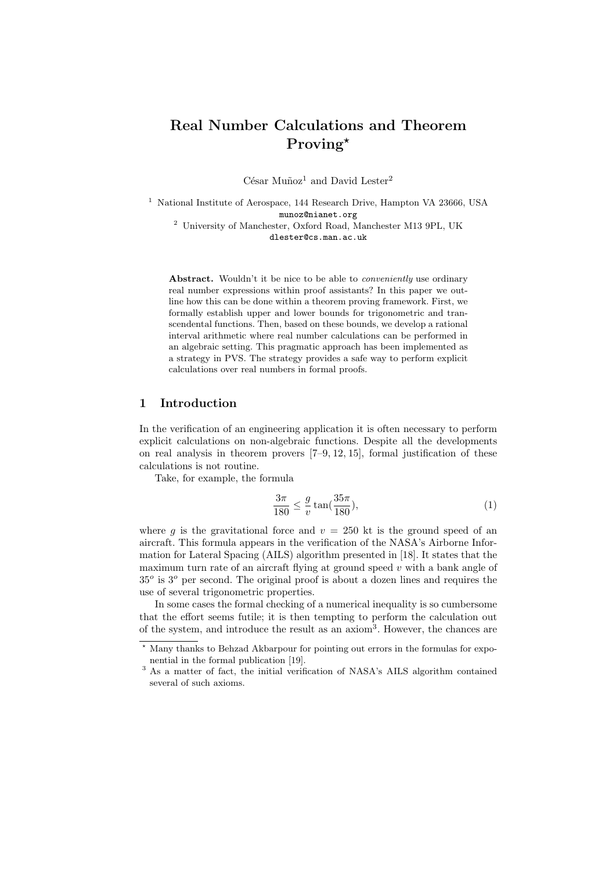# Real Number Calculations and Theorem Proving\*

César Muñoz<sup>1</sup> and David Lester<sup>2</sup>

<sup>1</sup> National Institute of Aerospace, 144 Research Drive, Hampton VA 23666, USA munoz@nianet.org <sup>2</sup> University of Manchester, Oxford Road, Manchester M13 9PL, UK

dlester@cs.man.ac.uk

Abstract. Wouldn't it be nice to be able to *conveniently* use ordinary real number expressions within proof assistants? In this paper we outline how this can be done within a theorem proving framework. First, we formally establish upper and lower bounds for trigonometric and transcendental functions. Then, based on these bounds, we develop a rational interval arithmetic where real number calculations can be performed in an algebraic setting. This pragmatic approach has been implemented as a strategy in PVS. The strategy provides a safe way to perform explicit calculations over real numbers in formal proofs.

## 1 Introduction

In the verification of an engineering application it is often necessary to perform explicit calculations on non-algebraic functions. Despite all the developments on real analysis in theorem provers  $[7-9, 12, 15]$ , formal justification of these calculations is not routine.

Take, for example, the formula

$$
\frac{3\pi}{180} \le \frac{g}{v} \tan(\frac{35\pi}{180}),\tag{1}
$$

where g is the gravitational force and  $v = 250$  kt is the ground speed of an aircraft. This formula appears in the verification of the NASA's Airborne Information for Lateral Spacing (AILS) algorithm presented in [18]. It states that the maximum turn rate of an aircraft flying at ground speed  $v$  with a bank angle of  $35<sup>o</sup>$  is  $3<sup>o</sup>$  per second. The original proof is about a dozen lines and requires the use of several trigonometric properties.

In some cases the formal checking of a numerical inequality is so cumbersome that the effort seems futile; it is then tempting to perform the calculation out of the system, and introduce the result as an axiom<sup>3</sup>. However, the chances are

<sup>?</sup> Many thanks to Behzad Akbarpour for pointing out errors in the formulas for exponential in the formal publication [19].

<sup>&</sup>lt;sup>3</sup> As a matter of fact, the initial verification of NASA's AILS algorithm contained several of such axioms.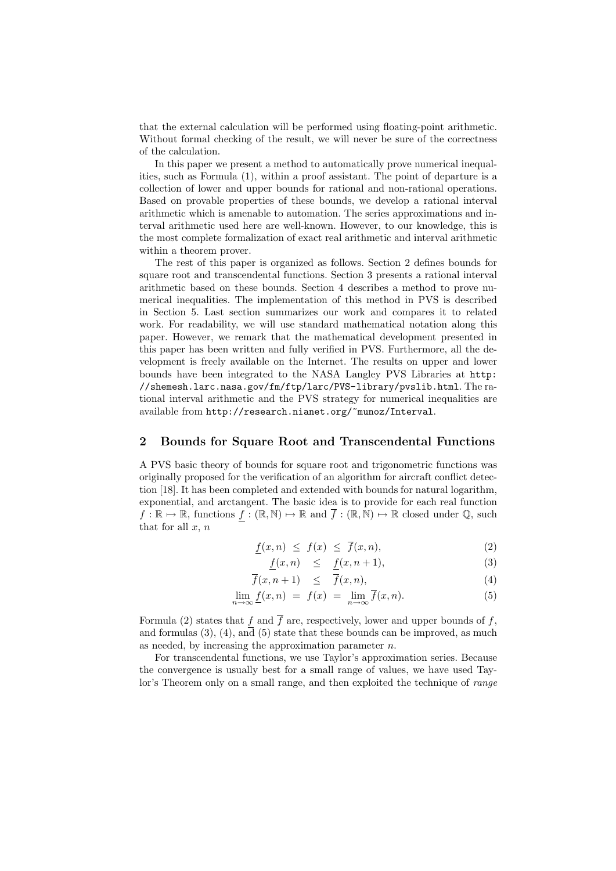that the external calculation will be performed using floating-point arithmetic. Without formal checking of the result, we will never be sure of the correctness of the calculation.

In this paper we present a method to automatically prove numerical inequalities, such as Formula (1), within a proof assistant. The point of departure is a collection of lower and upper bounds for rational and non-rational operations. Based on provable properties of these bounds, we develop a rational interval arithmetic which is amenable to automation. The series approximations and interval arithmetic used here are well-known. However, to our knowledge, this is the most complete formalization of exact real arithmetic and interval arithmetic within a theorem prover.

The rest of this paper is organized as follows. Section 2 defines bounds for square root and transcendental functions. Section 3 presents a rational interval arithmetic based on these bounds. Section 4 describes a method to prove numerical inequalities. The implementation of this method in PVS is described in Section 5. Last section summarizes our work and compares it to related work. For readability, we will use standard mathematical notation along this paper. However, we remark that the mathematical development presented in this paper has been written and fully verified in PVS. Furthermore, all the development is freely available on the Internet. The results on upper and lower bounds have been integrated to the NASA Langley PVS Libraries at http: //shemesh.larc.nasa.gov/fm/ftp/larc/PVS-library/pvslib.html. The rational interval arithmetic and the PVS strategy for numerical inequalities are available from http://research.nianet.org/~munoz/Interval.

## 2 Bounds for Square Root and Transcendental Functions

A PVS basic theory of bounds for square root and trigonometric functions was originally proposed for the verification of an algorithm for aircraft conflict detection [18]. It has been completed and extended with bounds for natural logarithm, exponential, and arctangent. The basic idea is to provide for each real function  $f : \mathbb{R} \mapsto \mathbb{R}$ , functions  $f : (\mathbb{R}, \mathbb{N}) \mapsto \mathbb{R}$  and  $\overline{f} : (\mathbb{R}, \mathbb{N}) \mapsto \mathbb{R}$  closed under  $\mathbb{Q}$ , such that for all  $x, n$ 

$$
f(x,n) \le f(x) \le \overline{f}(x,n), \tag{2}
$$

$$
\underline{f}(x,n) \leq \underline{f}(x,n+1), \tag{3}
$$

$$
\overline{f}(x, n+1) \leq \overline{f}(x, n), \tag{4}
$$

$$
\lim_{n \to \infty} \underline{f}(x, n) = f(x) = \lim_{n \to \infty} \overline{f}(x, n).
$$
\n(5)

Formula (2) states that f and  $\overline{f}$  are, respectively, lower and upper bounds of f, and formulas  $(3)$ ,  $(4)$ , and  $(5)$  state that these bounds can be improved, as much as needed, by increasing the approximation parameter  $n$ .

For transcendental functions, we use Taylor's approximation series. Because the convergence is usually best for a small range of values, we have used Taylor's Theorem only on a small range, and then exploited the technique of range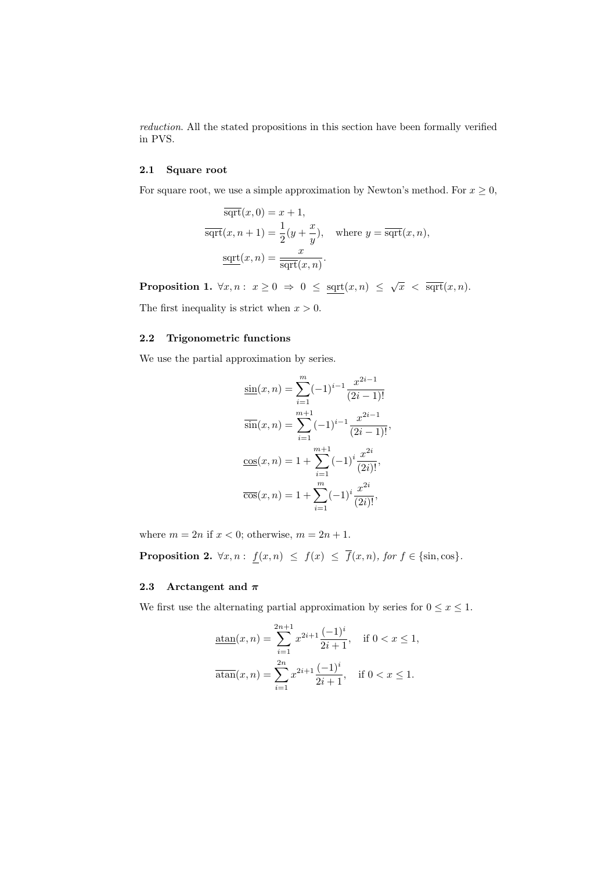reduction. All the stated propositions in this section have been formally verified in PVS.

# 2.1 Square root

For square root, we use a simple approximation by Newton's method. For  $x \geq 0$ ,

$$
\overline{\text{sqrt}}(x,0) = x + 1,
$$
  
 
$$
\overline{\text{sqrt}}(x,n+1) = \frac{1}{2}(y + \frac{x}{y}), \text{ where } y = \overline{\text{sqrt}}(x,n),
$$
  
 
$$
\underline{\text{sqrt}}(x,n) = \frac{x}{\overline{\text{sqrt}}(x,n)}.
$$

Proposition 1.  $\forall x, n: x \geq 0 \Rightarrow 0 \leq \text{sqrt}(x, n) \leq \sqrt{x} < \overline{\text{sqrt}}(x, n)$ .

The first inequality is strict when  $x > 0$ .

## 2.2 Trigonometric functions

We use the partial approximation by series.

$$
\frac{\sin(x, n)}{\sin(x, n)} = \sum_{i=1}^{m} (-1)^{i-1} \frac{x^{2i-1}}{(2i-1)!}
$$

$$
\frac{\sin(x, n)}{\sin(x, n)} = \sum_{i=1}^{m+1} (-1)^{i-1} \frac{x^{2i-1}}{(2i-1)!}
$$

$$
\frac{\cos(x, n)}{\cos(x, n)} = 1 + \sum_{i=1}^{m} (-1)^{i} \frac{x^{2i}}{(2i)!}
$$

$$
\frac{\cos(x, n)}{\cos(x, n)} = 1 + \sum_{i=1}^{m} (-1)^{i} \frac{x^{2i}}{(2i)!}
$$

where  $m = 2n$  if  $x < 0$ ; otherwise,  $m = 2n + 1$ .

**Proposition 2.**  $\forall x, n : \underline{f}(x, n) \leq f(x) \leq \overline{f}(x, n)$ , for  $f \in \{\sin, \cos\}.$ 

## 2.3 Arctangent and  $\pi$

We first use the alternating partial approximation by series for  $0 \le x \le 1$ .

$$
\underline{\operatorname{atan}}(x, n) = \sum_{i=1}^{2n+1} x^{2i+1} \frac{(-1)^i}{2i+1}, \quad \text{if } 0 < x \le 1,
$$
\n
$$
\overline{\operatorname{atan}}(x, n) = \sum_{i=1}^{2n} x^{2i+1} \frac{(-1)^i}{2i+1}, \quad \text{if } 0 < x \le 1.
$$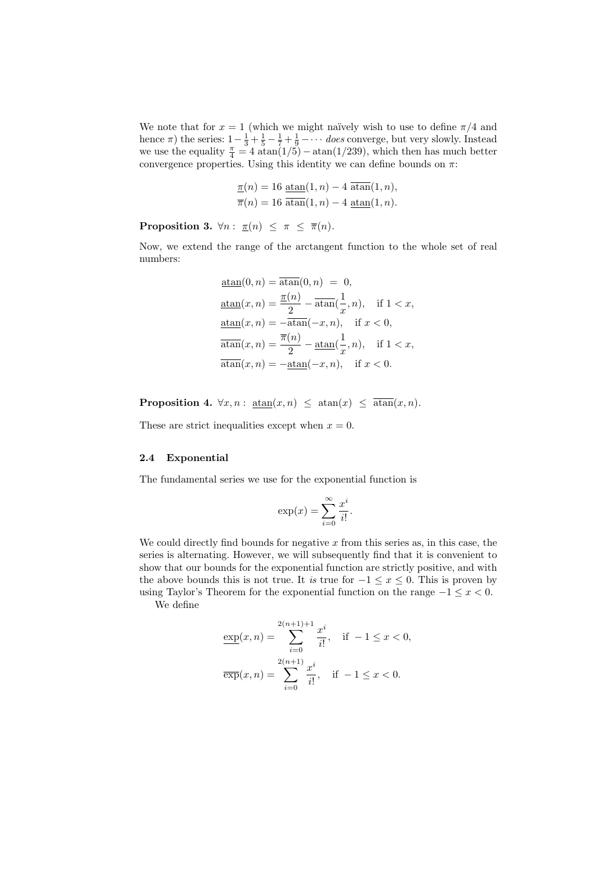We note that for  $x = 1$  (which we might naïvely wish to use to define  $\pi/4$  and hence  $\pi$ ) the series:  $1 - \frac{1}{3} + \frac{1}{5} - \frac{1}{7} + \frac{1}{9} - \cdots$  does converge, but very slowly. Instead we use the equality  $\frac{\pi}{4} = 4 \tan(1/5) - \tan(1/239)$ , which then has much better convergence properties. Using this identity we can define bounds on  $\pi$ :

$$
\underline{\pi}(n) = 16 \underline{\text{atan}}(1, n) - 4 \overline{\text{atan}}(1, n),
$$

$$
\overline{\pi}(n) = 16 \overline{\text{atan}}(1, n) - 4 \underline{\text{atan}}(1, n).
$$

**Proposition 3.**  $\forall n : \underline{\pi}(n) \leq \pi \leq \overline{\pi}(n)$ .

Now, we extend the range of the arctangent function to the whole set of real numbers:

$$
\underline{\operatorname{atan}}(0, n) = \overline{\operatorname{atan}}(0, n) = 0,
$$
\n
$$
\underline{\operatorname{atan}}(x, n) = \frac{\pi(n)}{2} - \overline{\operatorname{atan}}(\frac{1}{x}, n), \quad \text{if } 1 < x,
$$
\n
$$
\underline{\operatorname{atan}}(x, n) = -\overline{\operatorname{atan}}(-x, n), \quad \text{if } x < 0,
$$
\n
$$
\overline{\operatorname{atan}}(x, n) = \frac{\overline{\pi}(n)}{2} - \underline{\operatorname{atan}}(\frac{1}{x}, n), \quad \text{if } 1 < x,
$$
\n
$$
\overline{\operatorname{atan}}(x, n) = -\underline{\operatorname{atan}}(-x, n), \quad \text{if } x < 0.
$$

**Proposition 4.**  $\forall x, n : \underline{\text{atan}}(x, n) \leq \underline{\text{atan}}(x) \leq \overline{\text{atan}}(x, n)$ .

These are strict inequalities except when  $x = 0$ .

## 2.4 Exponential

The fundamental series we use for the exponential function is

$$
\exp(x) = \sum_{i=0}^{\infty} \frac{x^i}{i!}.
$$

We could directly find bounds for negative  $x$  from this series as, in this case, the series is alternating. However, we will subsequently find that it is convenient to show that our bounds for the exponential function are strictly positive, and with the above bounds this is not true. It is true for  $-1 \leq x \leq 0$ . This is proven by using Taylor's Theorem for the exponential function on the range  $-1 \leq x < 0$ . We define

$$
\underbrace{\exp(x,n)}_{\exp(x,n)} = \sum_{i=0}^{2(n+1)+1} \frac{x^i}{i!}, \quad \text{if } -1 \le x < 0,
$$
\n
$$
\overline{\exp(x,n)} = \sum_{i=0}^{2(n+1)} \frac{x^i}{i!}, \quad \text{if } -1 \le x < 0.
$$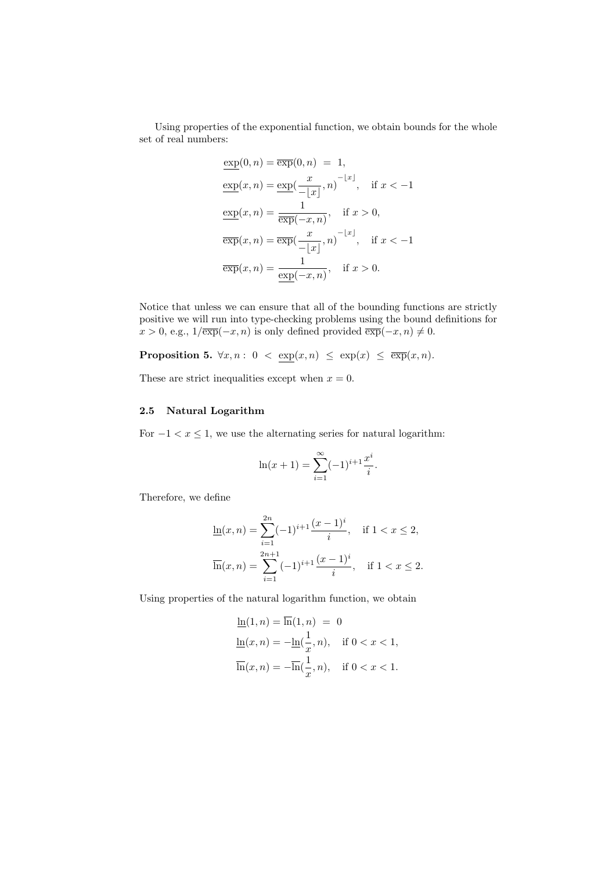Using properties of the exponential function, we obtain bounds for the whole set of real numbers:

$$
\exp(0, n) = \overline{\exp}(0, n) = 1,
$$
  
\n
$$
\exp(x, n) = \exp\left(\frac{x}{-|x|}, n\right)^{-|x|}, \text{ if } x < -1
$$
  
\n
$$
\exp(x, n) = \frac{1}{\overline{\exp}(-x, n)}, \text{ if } x > 0,
$$
  
\n
$$
\overline{\exp}(x, n) = \overline{\exp}\left(\frac{x}{-|x|}, n\right)^{-|x|}, \text{ if } x < -1
$$
  
\n
$$
\overline{\exp}(x, n) = \frac{1}{\exp(-x, n)}, \text{ if } x > 0.
$$

Notice that unless we can ensure that all of the bounding functions are strictly positive we will run into type-checking problems using the bound definitions for  $x > 0$ , e.g.,  $1/\overline{\exp}(-x, n)$  is only defined provided  $\overline{\exp}(-x, n) \neq 0$ .

**Proposition 5.**  $\forall x, n : 0 < \exp(x, n) \leq \exp(x) \leq \overline{\exp}(x, n)$ .

These are strict inequalities except when  $x = 0$ .

## 2.5 Natural Logarithm

For  $-1 < x \leq 1$ , we use the alternating series for natural logarithm:

$$
\ln(x+1) = \sum_{i=1}^{\infty} (-1)^{i+1} \frac{x^i}{i}.
$$

Therefore, we define

$$
\underline{\ln}(x, n) = \sum_{i=1}^{2n} (-1)^{i+1} \frac{(x-1)^i}{i}, \quad \text{if } 1 < x \le 2,
$$
\n
$$
\overline{\ln}(x, n) = \sum_{i=1}^{2n+1} (-1)^{i+1} \frac{(x-1)^i}{i}, \quad \text{if } 1 < x \le 2.
$$

Using properties of the natural logarithm function, we obtain

$$
\underline{\ln}(1, n) = \overline{\ln}(1, n) = 0
$$
  

$$
\underline{\ln}(x, n) = -\underline{\ln}(\frac{1}{x}, n), \text{ if } 0 < x < 1,
$$
  

$$
\overline{\ln}(x, n) = -\overline{\ln}(\frac{1}{x}, n), \text{ if } 0 < x < 1.
$$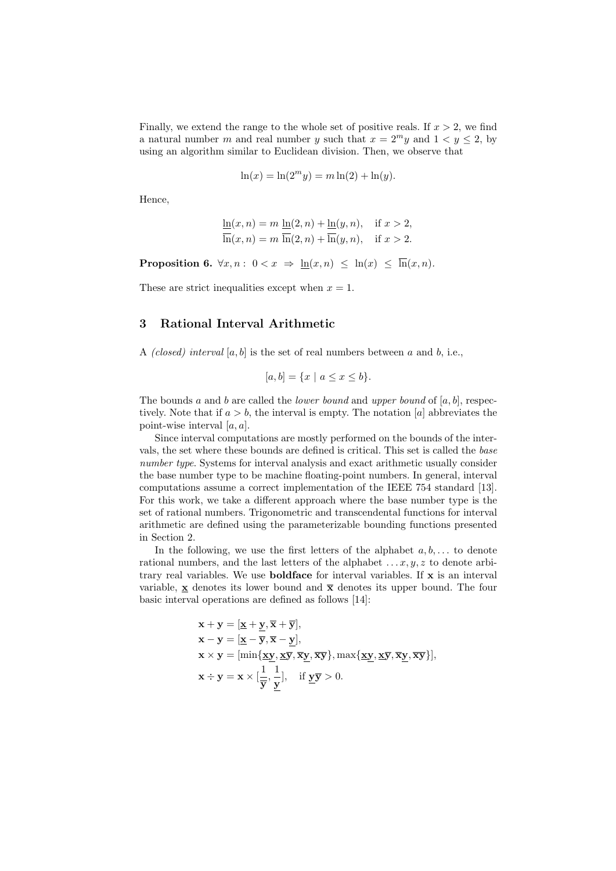Finally, we extend the range to the whole set of positive reals. If  $x > 2$ , we find a natural number m and real number y such that  $x = 2^m y$  and  $1 < y \le 2$ , by using an algorithm similar to Euclidean division. Then, we observe that

$$
\ln(x) = \ln(2^m y) = m \ln(2) + \ln(y).
$$

Hence,

$$
\underline{\ln}(x, n) = m \underline{\ln}(2, n) + \underline{\ln}(y, n), \quad \text{if } x > 2,
$$
  

$$
\overline{\ln}(x, n) = m \overline{\ln}(2, n) + \overline{\ln}(y, n), \quad \text{if } x > 2.
$$

**Proposition 6.**  $\forall x, n : 0 < x \Rightarrow \underline{\ln}(x, n) \leq \ln(x) \leq \overline{\ln}(x, n)$ .

These are strict inequalities except when  $x = 1$ .

## 3 Rational Interval Arithmetic

A *(closed)* interval  $[a, b]$  is the set of real numbers between a and b, i.e.,

$$
[a, b] = \{x \mid a \le x \le b\}.
$$

The bounds a and b are called the *lower bound* and *upper bound* of  $[a, b]$ , respectively. Note that if  $a > b$ , the interval is empty. The notation [a] abbreviates the point-wise interval  $[a, a]$ .

Since interval computations are mostly performed on the bounds of the intervals, the set where these bounds are defined is critical. This set is called the base number type. Systems for interval analysis and exact arithmetic usually consider the base number type to be machine floating-point numbers. In general, interval computations assume a correct implementation of the IEEE 754 standard [13]. For this work, we take a different approach where the base number type is the set of rational numbers. Trigonometric and transcendental functions for interval arithmetic are defined using the parameterizable bounding functions presented in Section 2.

In the following, we use the first letters of the alphabet  $a, b, \ldots$  to denote rational numbers, and the last letters of the alphabet  $\dots x, y, z$  to denote arbitrary real variables. We use **boldface** for interval variables. If  $x$  is an interval variable,  $\underline{\mathbf{x}}$  denotes its lower bound and  $\overline{\mathbf{x}}$  denotes its upper bound. The four basic interval operations are defined as follows [14]:

$$
\mathbf{x} + \mathbf{y} = [\mathbf{\underline{x}} + \mathbf{\underline{y}}, \overline{\mathbf{x}} + \overline{\mathbf{y}}],
$$
  
\n
$$
\mathbf{x} - \mathbf{y} = [\mathbf{\underline{x}} - \overline{\mathbf{y}}, \overline{\mathbf{x}} - \mathbf{\underline{y}}],
$$
  
\n
$$
\mathbf{x} \times \mathbf{y} = [\min{\{\underline{x}\underline{y}, \underline{x}\overline{y}, \overline{x}\underline{y}, \overline{x}\overline{y}\}}, \max{\{\underline{x}\underline{y}, \underline{x}\overline{y}, \overline{x}\underline{y}, \overline{x}\overline{y}\}},]
$$
  
\n
$$
\mathbf{x} \div \mathbf{y} = \mathbf{x} \times [\frac{1}{\overline{y}}, \frac{1}{\underline{y}}], \text{ if } \underline{y}\overline{y} > 0.
$$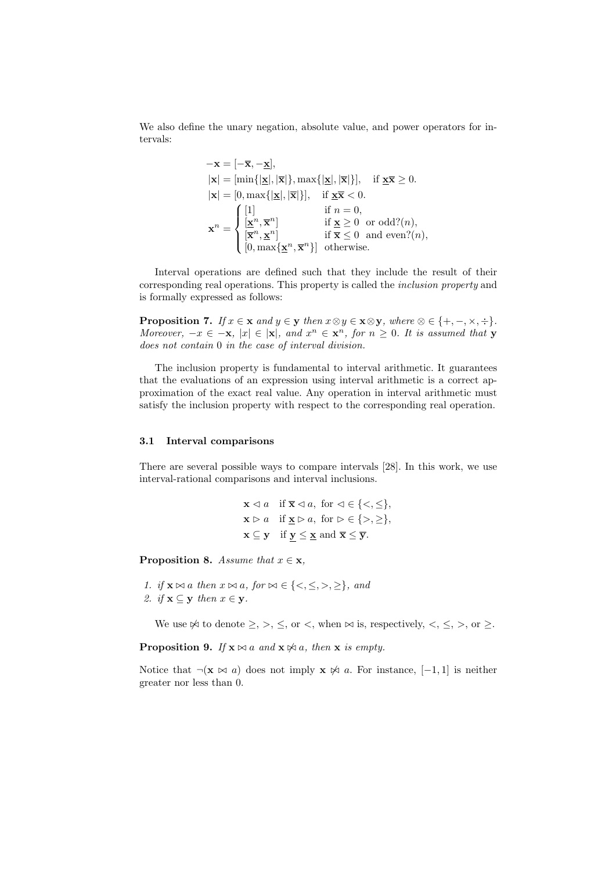We also define the unary negation, absolute value, and power operators for intervals:

$$
-\mathbf{x} = [-\overline{\mathbf{x}}, -\underline{\mathbf{x}}],
$$
  
\n
$$
|\mathbf{x}| = [\min\{|\underline{\mathbf{x}}|, |\overline{\mathbf{x}}|\}, \max\{|\underline{\mathbf{x}}|, |\overline{\mathbf{x}}|\}], \text{ if } \underline{\mathbf{x}}\overline{\mathbf{x}} \ge 0.
$$
  
\n
$$
|\mathbf{x}| = [0, \max\{|\underline{\mathbf{x}}|, |\overline{\mathbf{x}}|\}], \text{ if } \underline{\mathbf{x}}\overline{\mathbf{x}} < 0.
$$
  
\n
$$
\mathbf{x}^n = \begin{cases}\n[1] & \text{if } n = 0, \\
[\underline{\mathbf{x}}^n, \overline{\mathbf{x}}^n] & \text{if } \underline{\mathbf{x}} \ge 0 \text{ or odd}? (n), \\
[\overline{\mathbf{x}}^n, \underline{\mathbf{x}}^n] & \text{if } \overline{\mathbf{x}} \le 0 \text{ and even}? (n), \\
[0, \max\{\underline{\mathbf{x}}^n, \overline{\mathbf{x}}^n\}] & \text{otherwise.}\n\end{cases}
$$

Interval operations are defined such that they include the result of their corresponding real operations. This property is called the inclusion property and is formally expressed as follows:

**Proposition 7.** If  $x \in \mathbf{x}$  and  $y \in \mathbf{y}$  then  $x \otimes y \in \mathbf{x} \otimes \mathbf{y}$ , where  $\otimes \in \{+, -, \times, \div\}.$ Moreover,  $-x \in -\mathbf{x}, |x| \in |\mathbf{x}|$ , and  $x^n \in \mathbf{x}^n$ , for  $n \geq 0$ . It is assumed that y does not contain 0 in the case of interval division.

The inclusion property is fundamental to interval arithmetic. It guarantees that the evaluations of an expression using interval arithmetic is a correct approximation of the exact real value. Any operation in interval arithmetic must satisfy the inclusion property with respect to the corresponding real operation.

#### 3.1 Interval comparisons

There are several possible ways to compare intervals [28]. In this work, we use interval-rational comparisons and interval inclusions.

$$
\mathbf{x} \lhd a \quad \text{if } \overline{\mathbf{x}} \lhd a, \text{ for } \lhd \in \{ \leq, \leq \},
$$
\n
$$
\mathbf{x} \rhd a \quad \text{if } \mathbf{\underline{x}} \rhd a, \text{ for } \rhd \in \{ \geq, \geq \},
$$
\n
$$
\mathbf{x} \subseteq \mathbf{y} \quad \text{if } \mathbf{y} \leq \mathbf{x} \text{ and } \overline{\mathbf{x}} \leq \overline{\mathbf{y}}.
$$

**Proposition 8.** Assume that  $x \in \mathbf{x}$ ,

1. if  $\mathbf{x} \bowtie a$  then  $x \bowtie a$ , for  $\bowtie \in \{ \leq, \leq, \geq, \geq \}$ , and 2. if  $\mathbf{x} \subseteq \mathbf{y}$  then  $x \in \mathbf{y}$ .

We use  $\Join$  to denote  $\geq, >, \leq,$  or  $\lt$ , when  $\Join$  is, respectively,  $\lt,, \leq, >,$  or  $\geq$ .

**Proposition 9.** If  $x \bowtie a$  and  $x \not\bowtie a$ , then  $x$  is empty.

Notice that  $\neg(\mathbf{x} \bowtie a)$  does not imply  $\mathbf{x} \not\bowtie a$ . For instance, [−1, 1] is neither greater nor less than 0.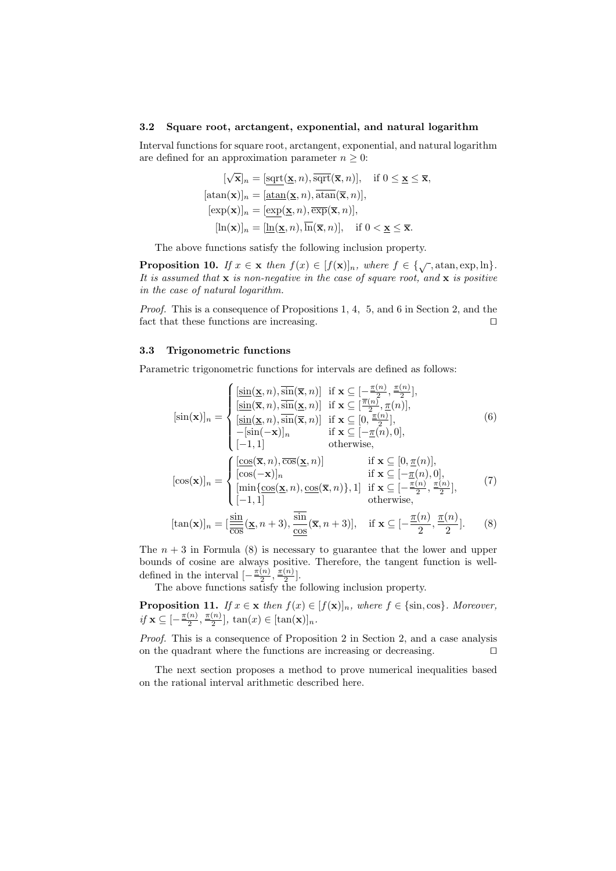#### 3.2 Square root, arctangent, exponential, and natural logarithm

Interval functions for square root, arctangent, exponential, and natural logarithm are defined for an approximation parameter  $n \geq 0$ :

$$
[\sqrt{\mathbf{x}}]_n = [\text{sqrt}(\mathbf{x}, n), \overline{\text{sqrt}}(\mathbf{x}, n)], \text{ if } 0 \le \mathbf{x} \le \overline{\mathbf{x}},
$$

$$
[\text{atan}(\mathbf{x})]_n = [\underline{\text{atan}(\mathbf{x}, n)}, \overline{\text{atan}(\mathbf{x}, n)}],
$$

$$
[\text{exp}(\mathbf{x})]_n = [\underline{\text{exp}(\mathbf{x}, n)}, \overline{\text{exp}(\mathbf{x}, n)}],
$$

$$
[\ln(\mathbf{x})]_n = [\underline{\ln(\mathbf{x}, n)}, \overline{\ln(\mathbf{x}, n)}], \text{ if } 0 < \mathbf{x} \le \overline{\mathbf{x}}.
$$

The above functions satisfy the following inclusion property.

**Proposition 10.** If  $x \in \mathbf{x}$  then  $f(x) \in [f(\mathbf{x})]_n$ , where  $f \in \{\sqrt{ }$ , atan, exp, ln $\}$ . It is assumed that  $x$  is non-negative in the case of square root, and  $x$  is positive in the case of natural logarithm.

Proof. This is a consequence of Propositions 1, 4, 5, and 6 in Section 2, and the fact that these functions are increasing.  $\Box$ 

## 3.3 Trigonometric functions

Parametric trigonometric functions for intervals are defined as follows:

$$
[\sin(\mathbf{x})]_n = \begin{cases}\n[\frac{\sin(\mathbf{x}, n), \overline{\sin}(\overline{\mathbf{x}}, n)]}{\sin(\overline{\mathbf{x}}, n), \overline{\sin}(\mathbf{x}, n)]} & \text{if } \mathbf{x} \subseteq [-\frac{\pi(n)}{2}, \frac{\pi(n)}{2}], \\
[\frac{\sin(\mathbf{x}, n), \overline{\sin}(\mathbf{x}, n)]}{\sin(\overline{\mathbf{x}}, n)]} & \text{if } \mathbf{x} \subseteq [0, \frac{\pi(n)}{2}], \\
-[ \sin(-\mathbf{x})]_n & \text{if } \mathbf{x} \subseteq [-\frac{\pi(n)}{2}], \\
[-1, 1] & \text{otherwise},\n\end{cases}
$$
\n
$$
[\cos(\mathbf{x})]_n = \begin{cases}\n[\frac{\cos(\overline{\mathbf{x}}, n), \overline{\cos}(\mathbf{x}, n)]}{\cos(-\mathbf{x})]_n} & \text{if } \mathbf{x} \subseteq [0, \frac{\pi(n)}{2}], \\
[\cos(-\mathbf{x})]_n & \text{if } \mathbf{x} \subseteq [0, \frac{\pi(n)}{2}], \\
[\sin(\frac{\cos(\mathbf{x}, n), \cos(\overline{\mathbf{x}}, n)]}{\cos(-\mathbf{x})]_n} & \text{if } \mathbf{x} \subseteq [-\frac{\pi(n)}{2}, \frac{\pi(n)}{2}], \\
[-1, 1] & \text{otherwise},\n\end{cases}
$$
\n
$$
[\tan(\mathbf{x})]_n = [\frac{\sin}{\cos}(\mathbf{x}, n + 3), \frac{\sin}{\cos}(\overline{\mathbf{x}}, n + 3)], \text{ if } \mathbf{x} \subseteq [-\frac{\pi(n)}{2}, \frac{\pi(n)}{2}].
$$
\n(8)

The  $n + 3$  in Formula (8) is necessary to guarantee that the lower and upper bounds of cosine are always positive. Therefore, the tangent function is welldefined in the interval  $\left[-\frac{\pi(n)}{2}\right]$  $\frac{\pi(n)}{2}, \frac{\pi(n)}{2}$  $\frac{(n)}{2}$ .

The above functions satisfy the following inclusion property.

**Proposition 11.** If  $x \in \mathbf{x}$  then  $f(x) \in [f(\mathbf{x})]_n$ , where  $f \in \{\sin, \cos\}$ . Moreover,  $if$  **x**  $\subseteq$   $\left[-\frac{\pi(n)}{2}\right]$  $\frac{\pi(n)}{2}, \frac{\pi(n)}{2}$  $\lfloor \frac{n}{2} \rfloor$ ,  $\tan(x) \in [\tan(\mathbf{x})]_n$ .

Proof. This is a consequence of Proposition 2 in Section 2, and a case analysis on the quadrant where the functions are increasing or decreasing.  $\Box$ 

The next section proposes a method to prove numerical inequalities based on the rational interval arithmetic described here.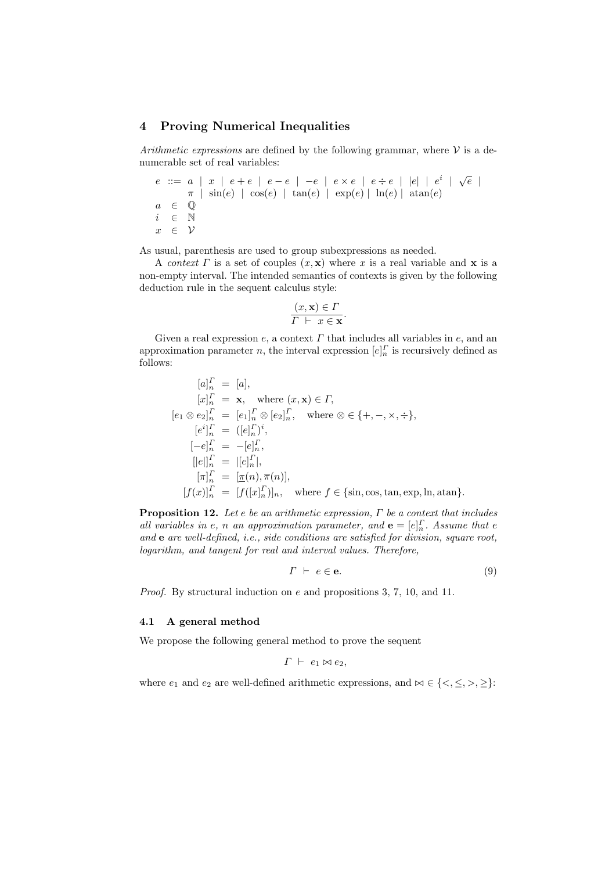## 4 Proving Numerical Inequalities

Arithmetic expressions are defined by the following grammar, where  $V$  is a denumerable set of real variables:

$$
e ::= a | x | e + e | e - e | -e | e \times e | e \div e | |e| | e^{i} | \sqrt{e} |
$$
  
\n
$$
\pi | \sin(e) | \cos(e) | \tan(e) | \exp(e) | \ln(e) | \tan(e)
$$
  
\n
$$
a \in \mathbb{Q}
$$
  
\n
$$
i \in \mathbb{N}
$$
  
\n
$$
x \in \mathcal{V}
$$

As usual, parenthesis are used to group subexpressions as needed.

A *context*  $\Gamma$  is a set of couples  $(x, x)$  where x is a real variable and x is a non-empty interval. The intended semantics of contexts is given by the following deduction rule in the sequent calculus style:

$$
\frac{(x, \mathbf{x}) \in \varGamma}{\varGamma \ \vdash \ x \in \mathbf{x}}.
$$

Given a real expression  $e$ , a context  $\Gamma$  that includes all variables in  $e$ , and an approximation parameter *n*, the interval expression  $[e]_n^{\Gamma}$  is recursively defined as follows:

$$
[a]_n^{\Gamma} = [a],
$$
  
\n
$$
[x]_n^{\Gamma} = \mathbf{x}, \text{ where } (x, \mathbf{x}) \in \Gamma,
$$
  
\n
$$
[e_1 \otimes e_2]_n^{\Gamma} = [e_1]_n^{\Gamma} \otimes [e_2]_n^{\Gamma}, \text{ where } \otimes \in \{+, -, \times, \div\},
$$
  
\n
$$
[e^i]_n^{\Gamma} = ([e]_n^{\Gamma})^i,
$$
  
\n
$$
[-e]_n^{\Gamma} = -[e]_n^{\Gamma},
$$
  
\n
$$
[[e]]_n^{\Gamma} = [[e]_n^{\Gamma}],
$$
  
\n
$$
[\pi]_n^{\Gamma} = [\underline{\pi}(n), \overline{\pi}(n)],
$$
  
\n
$$
[f(x)]_n^{\Gamma} = [f([x]_n^{\Gamma})]_n, \text{ where } f \in \{\sin, \cos, \tan, \exp, \ln, \tan\}.
$$

**Proposition 12.** Let e be an arithmetic expression,  $\Gamma$  be a context that includes all variables in e, n an approximation parameter, and  $\mathbf{e} = [e]_n^{\Gamma}$ . Assume that e and e are well-defined, i.e., side conditions are satisfied for division, square root, logarithm, and tangent for real and interval values. Therefore,

$$
\Gamma \ \vdash \ e \in \mathbf{e}.\tag{9}
$$

Proof. By structural induction on e and propositions 3, 7, 10, and 11.

#### 4.1 A general method

We propose the following general method to prove the sequent

$$
\Gamma \ \vdash \ e_1 \bowtie e_2,
$$

where  $e_1$  and  $e_2$  are well-defined arithmetic expressions, and  $\bowtie \in \{<,\leq, >, \geq\}$ :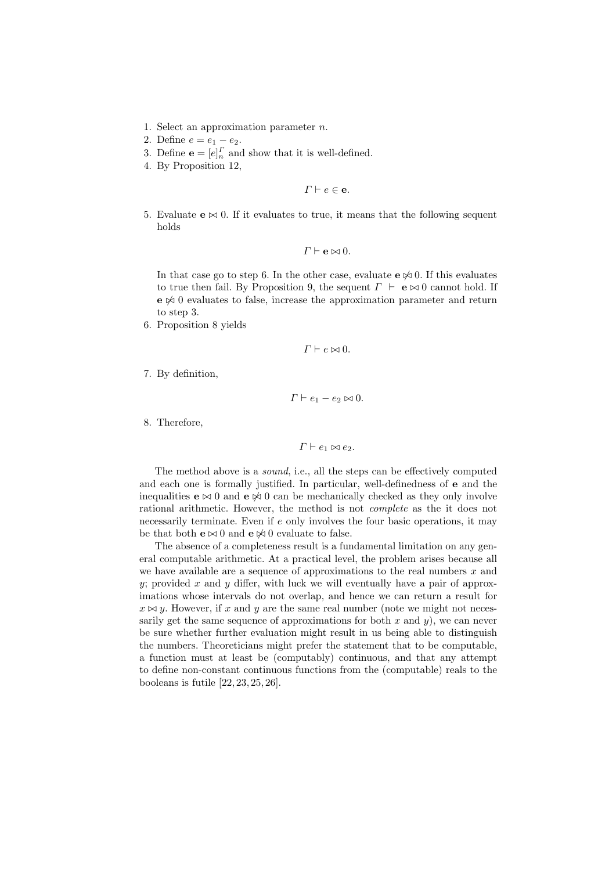- 1. Select an approximation parameter n.
- 2. Define  $e = e_1 e_2$ .
- 3. Define  $\mathbf{e} = [e]_n^{\Gamma}$  and show that it is well-defined.
- 4. By Proposition 12,

$$
\varGamma\vdash e\in {\bf e}.
$$

5. Evaluate  $e \approx 0$ . If it evaluates to true, it means that the following sequent holds

$$
\Gamma \vdash \mathbf{e} \bowtie 0.
$$

In that case go to step 6. In the other case, evaluate  $e \not\approx 0$ . If this evaluates to true then fail. By Proposition 9, the sequent  $\Gamma \vdash e \bowtie 0$  cannot hold. If  $e \not\approx 0$  evaluates to false, increase the approximation parameter and return to step 3.

6. Proposition 8 yields

$$
\Gamma \vdash e \bowtie 0.
$$

7. By definition,

 $\Gamma \vdash e_1 - e_2 \bowtie 0.$ 

8. Therefore,

$$
\Gamma \vdash e_1 \bowtie e_2.
$$

The method above is a sound, i.e., all the steps can be effectively computed and each one is formally justified. In particular, well-definedness of e and the inequalities  $e \bowtie 0$  and  $e \not\bowtie 0$  can be mechanically checked as they only involve rational arithmetic. However, the method is not complete as the it does not necessarily terminate. Even if  $e$  only involves the four basic operations, it may be that both  $e \bowtie 0$  and  $e \not\bowtie 0$  evaluate to false.

The absence of a completeness result is a fundamental limitation on any general computable arithmetic. At a practical level, the problem arises because all we have available are a sequence of approximations to the real numbers  $x$  and y; provided x and y differ, with luck we will eventually have a pair of approximations whose intervals do not overlap, and hence we can return a result for  $x \bowtie y$ . However, if x and y are the same real number (note we might not necessarily get the same sequence of approximations for both  $x$  and  $y$ ), we can never be sure whether further evaluation might result in us being able to distinguish the numbers. Theoreticians might prefer the statement that to be computable, a function must at least be (computably) continuous, and that any attempt to define non-constant continuous functions from the (computable) reals to the booleans is futile [22, 23, 25, 26].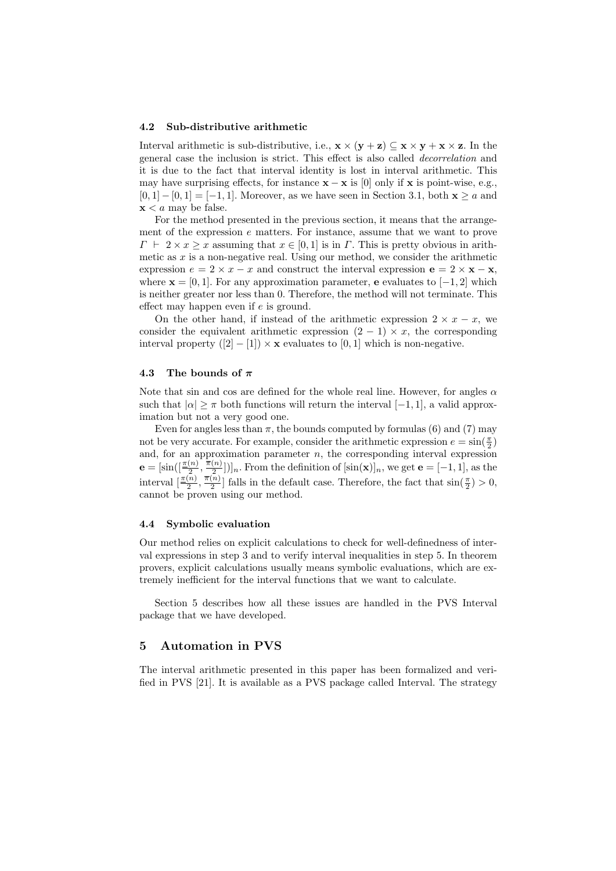#### 4.2 Sub-distributive arithmetic

Interval arithmetic is sub-distributive, i.e.,  $\mathbf{x} \times (\mathbf{y} + \mathbf{z}) \subseteq \mathbf{x} \times \mathbf{y} + \mathbf{x} \times \mathbf{z}$ . In the general case the inclusion is strict. This effect is also called decorrelation and it is due to the fact that interval identity is lost in interval arithmetic. This may have surprising effects, for instance  $\mathbf{x} - \mathbf{x}$  is [0] only if  $\mathbf{x}$  is point-wise, e.g.,  $[0,1] - [0,1] = [-1,1]$ . Moreover, as we have seen in Section 3.1, both  $\mathbf{x} \ge a$  and  $x < a$  may be false.

For the method presented in the previous section, it means that the arrangement of the expression  $e$  matters. For instance, assume that we want to prove  $\Gamma \vdash 2 \times x \geq x$  assuming that  $x \in [0, 1]$  is in  $\Gamma$ . This is pretty obvious in arithmetic as  $x$  is a non-negative real. Using our method, we consider the arithmetic expression  $e = 2 \times x - x$  and construct the interval expression  $e = 2 \times x - x$ , where  $\mathbf{x} = [0, 1]$ . For any approximation parameter, e evaluates to  $[-1, 2]$  which is neither greater nor less than 0. Therefore, the method will not terminate. This effect may happen even if e is ground.

On the other hand, if instead of the arithmetic expression  $2 \times x - x$ , we consider the equivalent arithmetic expression  $(2 - 1) \times x$ , the corresponding interval property  $([2] - [1]) \times \mathbf{x}$  evaluates to [0, 1] which is non-negative.

#### 4.3 The bounds of  $\pi$

Note that sin and cos are defined for the whole real line. However, for angles  $\alpha$ such that  $|\alpha| \geq \pi$  both functions will return the interval  $[-1, 1]$ , a valid approximation but not a very good one.

Even for angles less than  $\pi$ , the bounds computed by formulas (6) and (7) may not be very accurate. For example, consider the arithmetic expression  $e = \sin(\frac{\pi}{2})$ and, for an approximation parameter  $n$ , the corresponding interval expression  $\mathbf{e} = [\sin([\frac{\pi(n)}{2},\frac{\overline{\pi}(n)}{2}$  $\frac{(n)}{2}$ ])]<sub>n</sub>. From the definition of  $[\sin(\mathbf{x})]_n$ , we get  $\mathbf{e} = [-1, 1]$ , as the interval  $\left[\frac{\pi(n)}{2}, \frac{\overline{\pi}(n)}{2}\right]$  $\frac{(n)}{2}$  falls in the default case. Therefore, the fact that  $\sin(\frac{\pi}{2}) > 0$ , cannot be proven using our method.

## 4.4 Symbolic evaluation

Our method relies on explicit calculations to check for well-definedness of interval expressions in step 3 and to verify interval inequalities in step 5. In theorem provers, explicit calculations usually means symbolic evaluations, which are extremely inefficient for the interval functions that we want to calculate.

Section 5 describes how all these issues are handled in the PVS Interval package that we have developed.

# 5 Automation in PVS

The interval arithmetic presented in this paper has been formalized and verified in PVS [21]. It is available as a PVS package called Interval. The strategy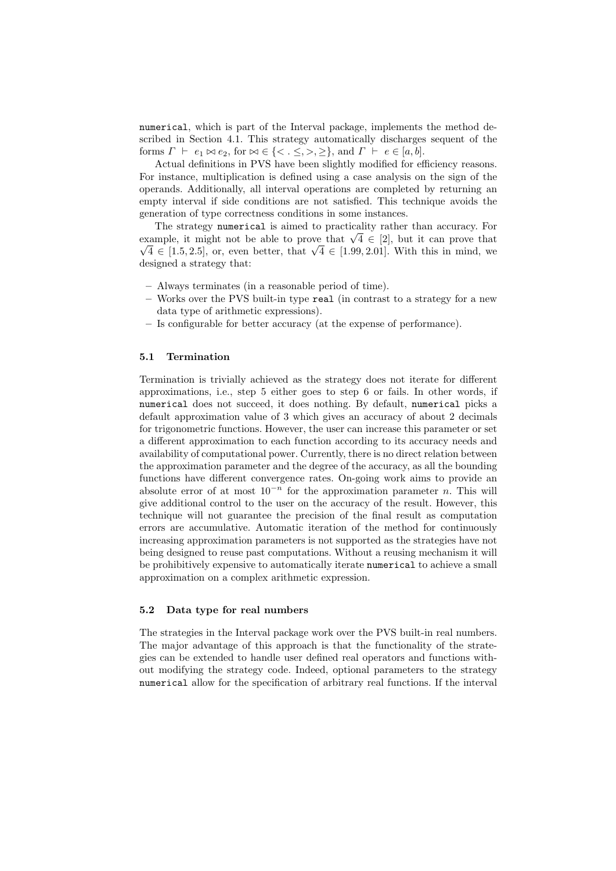numerical, which is part of the Interval package, implements the method described in Section 4.1. This strategy automatically discharges sequent of the forms  $\Gamma \vdash e_1 \bowtie e_2$ , for  $\bowtie \in \{< \ldots >, \geq\}$ , and  $\Gamma \vdash e \in [a, b]$ .

Actual definitions in PVS have been slightly modified for efficiency reasons. For instance, multiplication is defined using a case analysis on the sign of the operands. Additionally, all interval operations are completed by returning an empty interval if side conditions are not satisfied. This technique avoids the generation of type correctness conditions in some instances.

The strategy numerical is aimed to practicality rather than accuracy. For The strategy numerical is aimed to practicality rather than accuracy. For example, it might not be able to prove that  $\sqrt{4} \in [2]$ , but it can prove that  $\overline{4} \in [1.5, 2.5]$ , or, even better, that  $\sqrt{4} \in [1.99, 2.01]$ . With this in mind, we designed a strategy that:

- Always terminates (in a reasonable period of time).
- Works over the PVS built-in type real (in contrast to a strategy for a new data type of arithmetic expressions).
- Is configurable for better accuracy (at the expense of performance).

#### 5.1 Termination

Termination is trivially achieved as the strategy does not iterate for different approximations, i.e., step 5 either goes to step 6 or fails. In other words, if numerical does not succeed, it does nothing. By default, numerical picks a default approximation value of 3 which gives an accuracy of about 2 decimals for trigonometric functions. However, the user can increase this parameter or set a different approximation to each function according to its accuracy needs and availability of computational power. Currently, there is no direct relation between the approximation parameter and the degree of the accuracy, as all the bounding functions have different convergence rates. On-going work aims to provide an absolute error of at most  $10^{-n}$  for the approximation parameter n. This will give additional control to the user on the accuracy of the result. However, this technique will not guarantee the precision of the final result as computation errors are accumulative. Automatic iteration of the method for continuously increasing approximation parameters is not supported as the strategies have not being designed to reuse past computations. Without a reusing mechanism it will be prohibitively expensive to automatically iterate numerical to achieve a small approximation on a complex arithmetic expression.

#### 5.2 Data type for real numbers

The strategies in the Interval package work over the PVS built-in real numbers. The major advantage of this approach is that the functionality of the strategies can be extended to handle user defined real operators and functions without modifying the strategy code. Indeed, optional parameters to the strategy numerical allow for the specification of arbitrary real functions. If the interval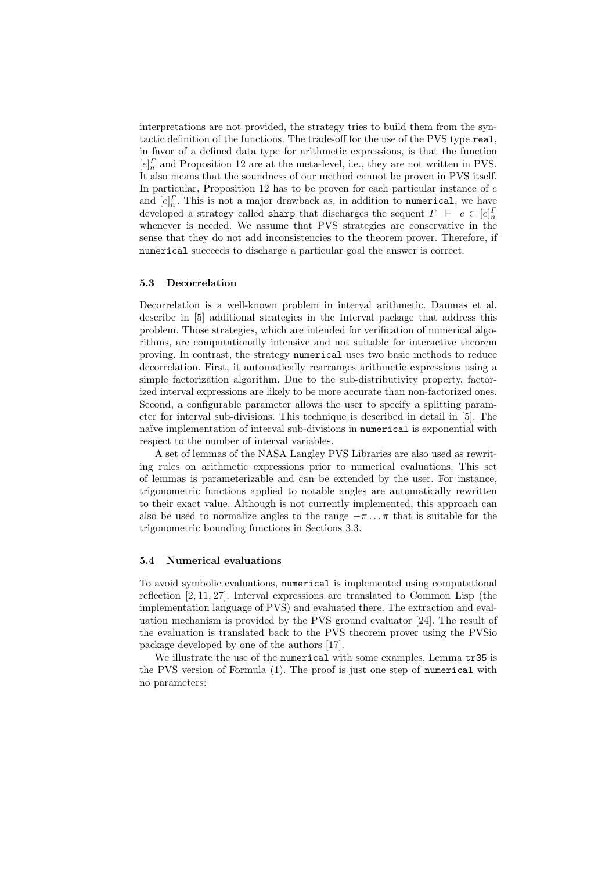interpretations are not provided, the strategy tries to build them from the syntactic definition of the functions. The trade-off for the use of the PVS type real, in favor of a defined data type for arithmetic expressions, is that the function  $[e]_n^{\Gamma}$  and Proposition 12 are at the meta-level, i.e., they are not written in PVS. It also means that the soundness of our method cannot be proven in PVS itself. In particular, Proposition 12 has to be proven for each particular instance of  $e$ and  $[e]_n^{\Gamma}$ . This is not a major drawback as, in addition to **numerical**, we have developed a strategy called **sharp** that discharges the sequent  $\Gamma \vdash e \in [e]_n^{\Gamma}$ whenever is needed. We assume that PVS strategies are conservative in the sense that they do not add inconsistencies to the theorem prover. Therefore, if numerical succeeds to discharge a particular goal the answer is correct.

#### 5.3 Decorrelation

Decorrelation is a well-known problem in interval arithmetic. Daumas et al. describe in [5] additional strategies in the Interval package that address this problem. Those strategies, which are intended for verification of numerical algorithms, are computationally intensive and not suitable for interactive theorem proving. In contrast, the strategy numerical uses two basic methods to reduce decorrelation. First, it automatically rearranges arithmetic expressions using a simple factorization algorithm. Due to the sub-distributivity property, factorized interval expressions are likely to be more accurate than non-factorized ones. Second, a configurable parameter allows the user to specify a splitting parameter for interval sub-divisions. This technique is described in detail in [5]. The naïve implementation of interval sub-divisions in numerical is exponential with respect to the number of interval variables.

A set of lemmas of the NASA Langley PVS Libraries are also used as rewriting rules on arithmetic expressions prior to numerical evaluations. This set of lemmas is parameterizable and can be extended by the user. For instance, trigonometric functions applied to notable angles are automatically rewritten to their exact value. Although is not currently implemented, this approach can also be used to normalize angles to the range  $-\pi \dots \pi$  that is suitable for the trigonometric bounding functions in Sections 3.3.

## 5.4 Numerical evaluations

To avoid symbolic evaluations, numerical is implemented using computational reflection [2, 11, 27]. Interval expressions are translated to Common Lisp (the implementation language of PVS) and evaluated there. The extraction and evaluation mechanism is provided by the PVS ground evaluator [24]. The result of the evaluation is translated back to the PVS theorem prover using the PVSio package developed by one of the authors [17].

We illustrate the use of the numerical with some examples. Lemma tr35 is the PVS version of Formula (1). The proof is just one step of numerical with no parameters: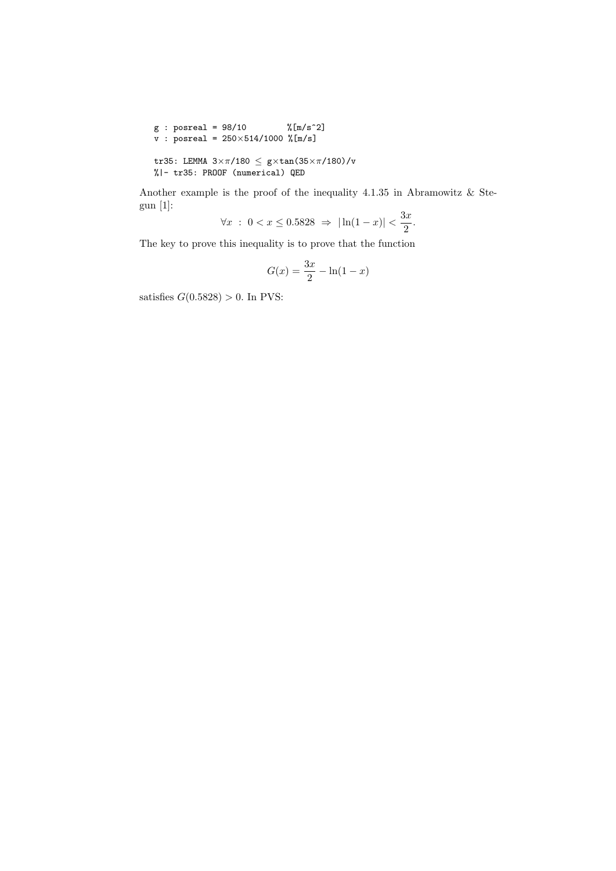```
g : posreal = 98/10 %[m/s^2]
v : possreal = 250 \times 514/1000 \text{ %}[m/s]tr35: LEMMA 3 \times \pi/180 \leq g \times \tan(35 \times \pi/180)/v%|- tr35: PROOF (numerical) QED
```
Another example is the proof of the inequality 4.1.35 in Abramowitz & Stegun [1]:

$$
\forall x \; : \; 0 < x \le 0.5828 \; \Rightarrow \; |\ln(1-x)| < \frac{3x}{2}.
$$

The key to prove this inequality is to prove that the function

$$
G(x) = \frac{3x}{2} - \ln(1 - x)
$$

satisfies  $G(0.5828) > 0$ . In PVS: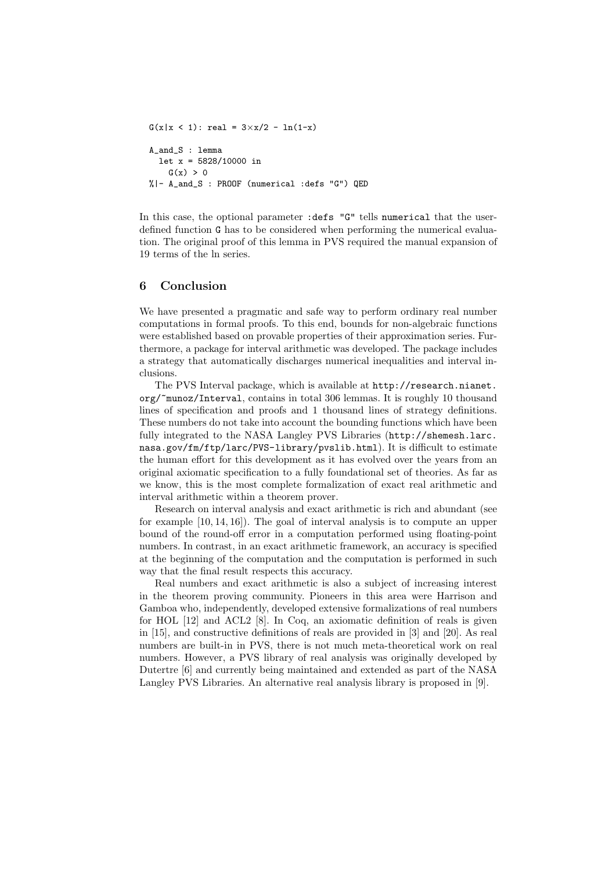$G(x|x \leq 1)$ : real =  $3 \times x/2$  -  $\ln(1-x)$ A\_and\_S : lemma  $let x = 5828/10000 in$  $G(x) > 0$ %|- A\_and\_S : PROOF (numerical :defs "G") QED

In this case, the optional parameter :defs "G" tells numerical that the userdefined function G has to be considered when performing the numerical evaluation. The original proof of this lemma in PVS required the manual expansion of 19 terms of the ln series.

## 6 Conclusion

We have presented a pragmatic and safe way to perform ordinary real number computations in formal proofs. To this end, bounds for non-algebraic functions were established based on provable properties of their approximation series. Furthermore, a package for interval arithmetic was developed. The package includes a strategy that automatically discharges numerical inequalities and interval inclusions.

The PVS Interval package, which is available at http://research.nianet. org/~munoz/Interval, contains in total 306 lemmas. It is roughly 10 thousand lines of specification and proofs and 1 thousand lines of strategy definitions. These numbers do not take into account the bounding functions which have been fully integrated to the NASA Langley PVS Libraries (http://shemesh.larc. nasa.gov/fm/ftp/larc/PVS-library/pvslib.html). It is difficult to estimate the human effort for this development as it has evolved over the years from an original axiomatic specification to a fully foundational set of theories. As far as we know, this is the most complete formalization of exact real arithmetic and interval arithmetic within a theorem prover.

Research on interval analysis and exact arithmetic is rich and abundant (see for example [10, 14, 16]). The goal of interval analysis is to compute an upper bound of the round-off error in a computation performed using floating-point numbers. In contrast, in an exact arithmetic framework, an accuracy is specified at the beginning of the computation and the computation is performed in such way that the final result respects this accuracy.

Real numbers and exact arithmetic is also a subject of increasing interest in the theorem proving community. Pioneers in this area were Harrison and Gamboa who, independently, developed extensive formalizations of real numbers for HOL [12] and ACL2 [8]. In Coq, an axiomatic definition of reals is given in [15], and constructive definitions of reals are provided in [3] and [20]. As real numbers are built-in in PVS, there is not much meta-theoretical work on real numbers. However, a PVS library of real analysis was originally developed by Dutertre [6] and currently being maintained and extended as part of the NASA Langley PVS Libraries. An alternative real analysis library is proposed in [9].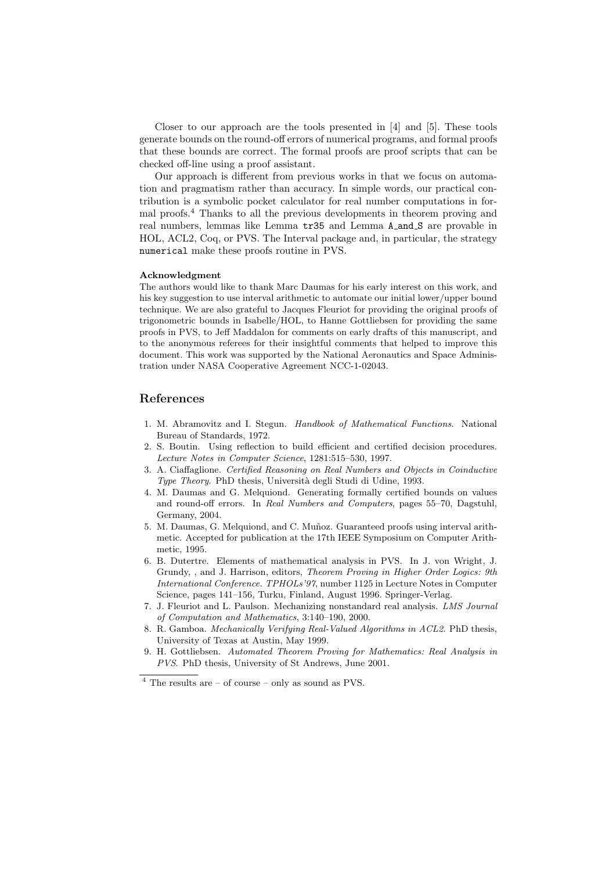Closer to our approach are the tools presented in [4] and [5]. These tools generate bounds on the round-off errors of numerical programs, and formal proofs that these bounds are correct. The formal proofs are proof scripts that can be checked off-line using a proof assistant.

Our approach is different from previous works in that we focus on automation and pragmatism rather than accuracy. In simple words, our practical contribution is a symbolic pocket calculator for real number computations in formal proofs.<sup>4</sup> Thanks to all the previous developments in theorem proving and real numbers, lemmas like Lemma tr35 and Lemma A and S are provable in HOL, ACL2, Coq, or PVS. The Interval package and, in particular, the strategy numerical make these proofs routine in PVS.

#### Acknowledgment

The authors would like to thank Marc Daumas for his early interest on this work, and his key suggestion to use interval arithmetic to automate our initial lower/upper bound technique. We are also grateful to Jacques Fleuriot for providing the original proofs of trigonometric bounds in Isabelle/HOL, to Hanne Gottliebsen for providing the same proofs in PVS, to Jeff Maddalon for comments on early drafts of this manuscript, and to the anonymous referees for their insightful comments that helped to improve this document. This work was supported by the National Aeronautics and Space Administration under NASA Cooperative Agreement NCC-1-02043.

# References

- 1. M. Abramovitz and I. Stegun. Handbook of Mathematical Functions. National Bureau of Standards, 1972.
- 2. S. Boutin. Using reflection to build efficient and certified decision procedures. Lecture Notes in Computer Science, 1281:515–530, 1997.
- 3. A. Ciaffaglione. Certified Reasoning on Real Numbers and Objects in Coinductive Type Theory. PhD thesis, Università degli Studi di Udine, 1993.
- 4. M. Daumas and G. Melquiond. Generating formally certified bounds on values and round-off errors. In Real Numbers and Computers, pages 55–70, Dagstuhl, Germany, 2004.
- 5. M. Daumas, G. Melquiond, and C. Muñoz. Guaranteed proofs using interval arithmetic. Accepted for publication at the 17th IEEE Symposium on Computer Arithmetic, 1995.
- 6. B. Dutertre. Elements of mathematical analysis in PVS. In J. von Wright, J. Grundy, , and J. Harrison, editors, Theorem Proving in Higher Order Logics: 9th International Conference. TPHOLs'97, number 1125 in Lecture Notes in Computer Science, pages 141–156, Turku, Finland, August 1996. Springer-Verlag.
- 7. J. Fleuriot and L. Paulson. Mechanizing nonstandard real analysis. LMS Journal of Computation and Mathematics, 3:140–190, 2000.
- 8. R. Gamboa. Mechanically Verifying Real-Valued Algorithms in ACL2. PhD thesis, University of Texas at Austin, May 1999.
- 9. H. Gottliebsen. Automated Theorem Proving for Mathematics: Real Analysis in PVS. PhD thesis, University of St Andrews, June 2001.

 $4$  The results are – of course – only as sound as PVS.